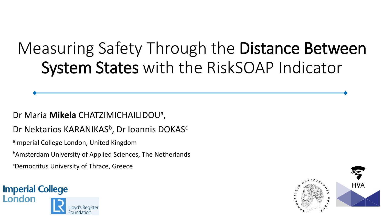# Measuring Safety Through the Distance Between System States with the RiskSOAP Indicator

#### Dr Maria **Mikela** CHATZIMICHAILIDOU<sup>a</sup> ,

#### Dr Nektarios KARANIKAS<sup>b</sup>, Dr Ioannis DOKAS<sup>c</sup>

aImperial College London, United Kingdom

<sup>b</sup>Amsterdam University of Applied Sciences, The Netherlands

<sup>c</sup>Democritus University of Thrace, Greece



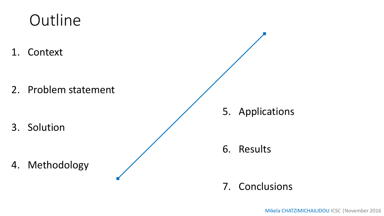## **Outline**

1. Context

2. Problem statement

3. Solution

4. Methodology

5. Applications

6. Results

### 7. Conclusions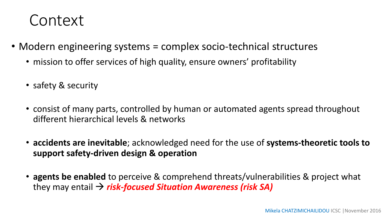### Context

- Modern engineering systems = complex socio-technical structures
	- mission to offer services of high quality, ensure owners' profitability
	- safety & security
	- consist of many parts, controlled by human or automated agents spread throughout different hierarchical levels & networks
	- **accidents are inevitable**; acknowledged need for the use of **systems-theoretic tools to support safety-driven design & operation**
	- **agents be enabled** to perceive & comprehend threats/vulnerabilities & project what they may entail *risk-focused Situation Awareness (risk SA)*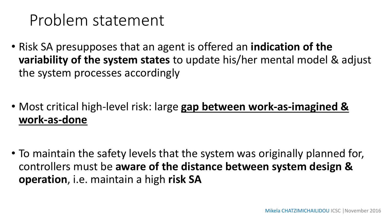### Problem statement

- Risk SA presupposes that an agent is offered an **indication of the variability of the system states** to update his/her mental model & adjust the system processes accordingly
- Most critical high-level risk: large **gap between work-as-imagined & work-as-done**
- To maintain the safety levels that the system was originally planned for, controllers must be **aware of the distance between system design & operation**, i.e. maintain a high **risk SA**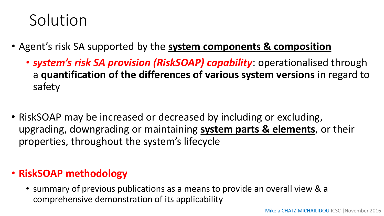## Solution

- Agent's risk SA supported by the **system components & composition**
	- *system's risk SA provision (RiskSOAP) capability*: operationalised through a **quantification of the differences of various system versions** in regard to safety
- RiskSOAP may be increased or decreased by including or excluding, upgrading, downgrading or maintaining **system parts & elements**, or their properties, throughout the system's lifecycle

### • **RiskSOAP methodology**

• summary of previous publications as a means to provide an overall view & a comprehensive demonstration of its applicability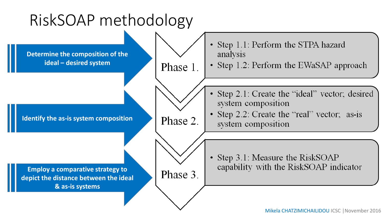## RiskSOAP methodology

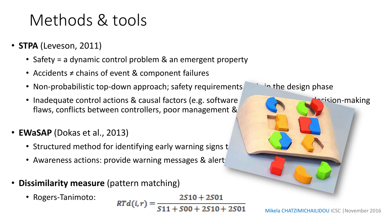## Methods & tools

- **STPA** (Leveson, 2011)
	- Safety = a dynamic control problem & an emergent property
	- Accidents ≠ chains of event & component failures
	- Non-probabilistic top-down approach; safety requirements and the design phase
	- Inadequate control actions & causal factors (e.g. software errors, decision-making flaws, conflicts between controllers, poor management &
- **EWaSAP** (Dokas et al., 2013)
	- Structured method for identifying early warning signs to
	- Awareness actions: provide warning messages & alert
- **Dissimilarity measure** (pattern matching)
	- Rogers-Tanimoto:



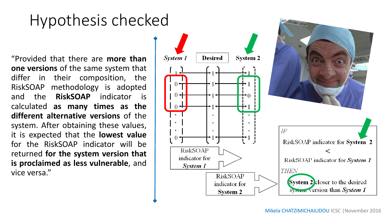## Hypothesis checked

"Provided that there are **more than one versions** of the same system that differ in their composition, the RiskSOAP methodology is adopted and the **RiskSOAP** indicator is calculated **as many times as the different alternative versions** of the system. After obtaining these values, it is expected that the **lowest value** for the RiskSOAP indicator will be returned **for the system version that is proclaimed as less vulnerable**, and vice versa."



gif-finder.com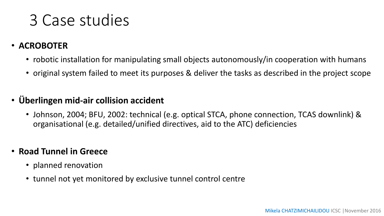### 3 Case studies

#### • **ACROBOTER**

- robotic installation for manipulating small objects autonomously/in cooperation with humans
- original system failed to meet its purposes & deliver the tasks as described in the project scope

#### • **Überlingen mid-air collision accident**

• Johnson, 2004; BFU, 2002: technical (e.g. optical STCA, phone connection, TCAS downlink) & organisational (e.g. detailed/unified directives, aid to the ATC) deficiencies

#### • **Road Tunnel in Greece**

- planned renovation
- tunnel not yet monitored by exclusive tunnel control centre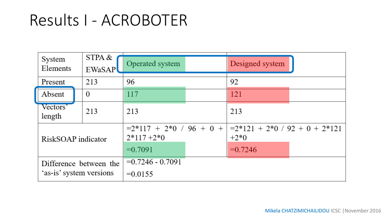### Results I - ACROBOTER

| System<br>Elements                                | STPA &<br><b>EWaSAP</b> | Operated system                                       |  | Designed system                                         |  |
|---------------------------------------------------|-------------------------|-------------------------------------------------------|--|---------------------------------------------------------|--|
| Present                                           | 213                     | 96                                                    |  | 92                                                      |  |
| Absent                                            | $\theta$                | 117                                                   |  | 121                                                     |  |
| Vectors'<br>length                                | 213                     | 213                                                   |  | 213                                                     |  |
| RiskSOAP indicator                                |                         | $=2*117 + 2*0 / 96 + 0 +$<br>$2*117+2*0$<br>$=0.7091$ |  | $=2*121 + 2*0 / 92 + 0 + 2*121$<br>$+2*0$<br>$= 0.7246$ |  |
| Difference between the<br>'as-is' system versions |                         | $= 0.7246 - 0.7091$<br>$=0.0155$                      |  |                                                         |  |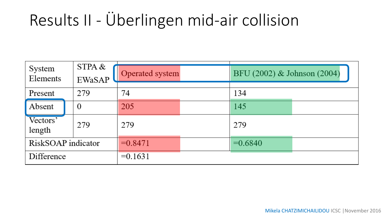## Results II - Überlingen mid-air collision

| System<br>Elements | STPA &<br><b>EWaSAP</b> | Operated system |  | BFU (2002) & Johnson (2004) |  |
|--------------------|-------------------------|-----------------|--|-----------------------------|--|
| Present            | 279                     | 74              |  | 134                         |  |
| Absent             | $\bf{0}$                | 205             |  | 145                         |  |
| Vectors'<br>length | 279                     | 279             |  | 279                         |  |
| RiskSOAP indicator |                         | $=0.8471$       |  | $=0.6840$                   |  |
| Difference         |                         | $=0.1631$       |  |                             |  |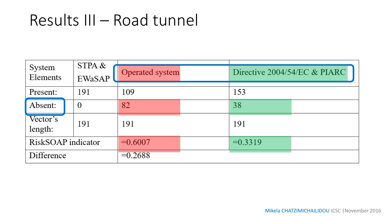### Results III – Road tunnel

| System<br>Elements  | STPA &<br><b>EWaSAP</b> | Operated system |  | Directive 2004/54/EC & PIARC |  |
|---------------------|-------------------------|-----------------|--|------------------------------|--|
| Present:            | 191                     | 109             |  | 153                          |  |
| Absent:             | $\overline{0}$          | 82              |  | 38                           |  |
| Vector's<br>length: | 191                     | 191             |  | 191                          |  |
| RiskSOAP indicator  |                         | $=0.6007$       |  | $=0.3319$                    |  |
| Difference          |                         | $=0.2688$       |  |                              |  |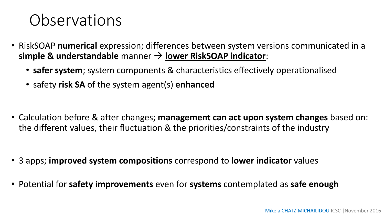### **Observations**

- RiskSOAP **numerical** expression; differences between system versions communicated in a **simple & understandable** manner **lower RiskSOAP indicator**:
	- **safer system**; system components & characteristics effectively operationalised
	- safety **risk SA** of the system agent(s) **enhanced**

• Calculation before & after changes; **management can act upon system changes** based on: the different values, their fluctuation & the priorities/constraints of the industry

- 3 apps; **improved system compositions** correspond to **lower indicator** values
- Potential for **safety improvements** even for **systems** contemplated as **safe enough**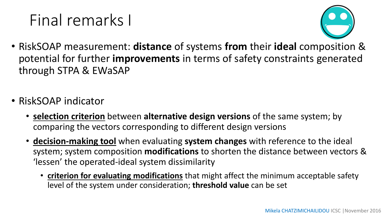# Final remarks I



- RiskSOAP measurement: **distance** of systems **from** their **ideal** composition & potential for further **improvements** in terms of safety constraints generated through STPA & EWaSAP
- RiskSOAP indicator
	- **selection criterion** between **alternative design versions** of the same system; by comparing the vectors corresponding to different design versions
	- **decision-making tool** when evaluating **system changes** with reference to the ideal system; system composition **modifications** to shorten the distance between vectors & 'lessen' the operated-ideal system dissimilarity
		- **criterion for evaluating modifications** that might affect the minimum acceptable safety level of the system under consideration; **threshold value** can be set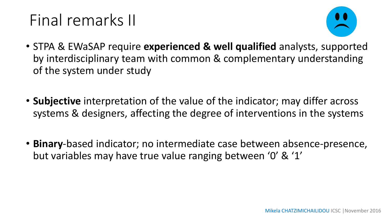# Final remarks II



- STPA & EWaSAP require **experienced & well qualified** analysts, supported by interdisciplinary team with common & complementary understanding of the system under study
- **Subjective** interpretation of the value of the indicator; may differ across systems & designers, affecting the degree of interventions in the systems
- **Binary**-based indicator; no intermediate case between absence-presence, but variables may have true value ranging between '0' & '1'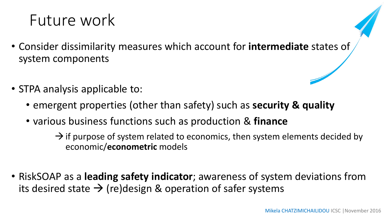## Future work

- Consider dissimilarity measures which account for **intermediate** states of system components
- STPA analysis applicable to:
	- emergent properties (other than safety) such as **security & quality**
	- various business functions such as production & **finance**

 $\rightarrow$  if purpose of system related to economics, then system elements decided by economic/**econometric** models

• RiskSOAP as a **leading safety indicator**; awareness of system deviations from its desired state  $\rightarrow$  (re)design & operation of safer systems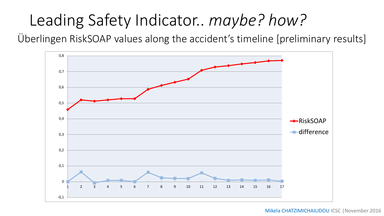## Leading Safety Indicator.. *maybe? how?*

Überlingen RiskSOAP values along the accident's timeline [preliminary results]